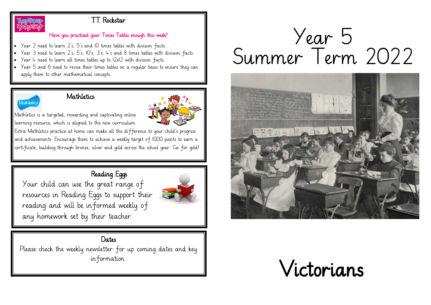

#### TT Rockstar

#### Have you practised your Times Tables enough this week?

- Year 2 need to learn 2's, 5's and 10 times tables with division facts.
- Year 3 need to learn 2's, 5's, 10's, 3's, 4's and 8 times tables with division facts.
- Year 4 need to learn all times tables up to 12x12 with division facts.
- Year 5 and 6 need to revise their times tables on a regular basis to ensure they can apply them to other mathematical concepts.



#### Mathletics



Mathletics is a targeted, rewarding and captivating online learning resource, which is aligned to the new curriculum.

Extra Mathletics practice at home can make all the difference to your child's progress and achievements. Encourage them to achieve a weekly target of 1000 points to earn a certificate, building through bronze, silver and gold across the school year. Go for gold!

# Reading Eggs

Your child can use the great range of resources in Reading Eggs to support their reading and will be informed weekly of any homework set by their teacher.



#### **Dates**

Please check the weekly newsletter for up coming dates and key information.

# Year 5 Summer Term 2022



# Victorians